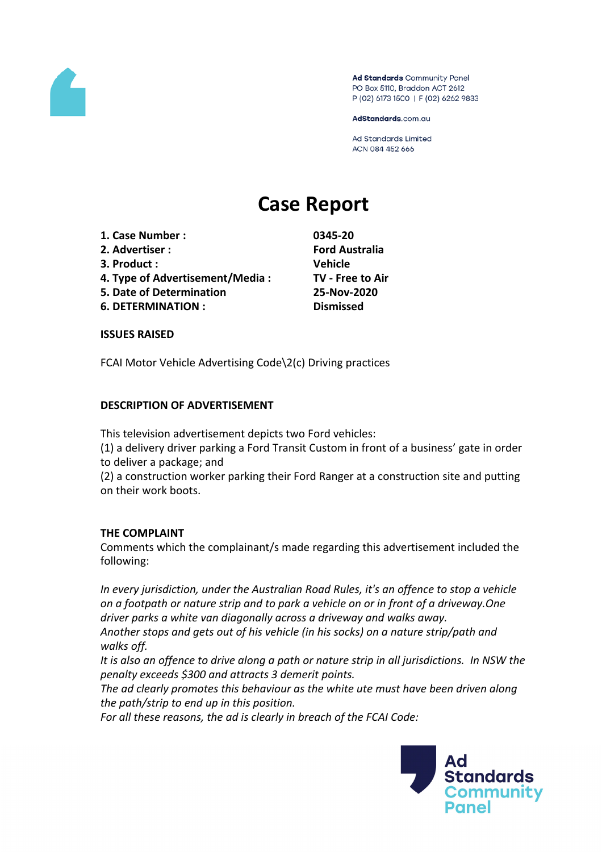

Ad Standards Community Panel PO Box 5110, Braddon ACT 2612 P (02) 6173 1500 | F (02) 6262 9833

AdStandards.com.au

Ad Standards Limited ACN 084 452 666

# **Case Report**

- **1. Case Number : 0345-20**
- **2. Advertiser : Ford Australia**
- **3. Product : Vehicle**
- **4. Type of Advertisement/Media : TV - Free to Air**
- **5. Date of Determination 25-Nov-2020**
- **6. DETERMINATION : Dismissed**

#### **ISSUES RAISED**

FCAI Motor Vehicle Advertising Code\2(c) Driving practices

# **DESCRIPTION OF ADVERTISEMENT**

This television advertisement depicts two Ford vehicles:

(1) a delivery driver parking a Ford Transit Custom in front of a business' gate in order to deliver a package; and

(2) a construction worker parking their Ford Ranger at a construction site and putting on their work boots.

## **THE COMPLAINT**

Comments which the complainant/s made regarding this advertisement included the following:

*In every jurisdiction, under the Australian Road Rules, it's an offence to stop a vehicle on a footpath or nature strip and to park a vehicle on or in front of a driveway.One driver parks a white van diagonally across a driveway and walks away. Another stops and gets out of his vehicle (in his socks) on a nature strip/path and walks off.*

*It is also an offence to drive along a path or nature strip in all jurisdictions. In NSW the penalty exceeds \$300 and attracts 3 demerit points.*

*The ad clearly promotes this behaviour as the white ute must have been driven along the path/strip to end up in this position.*

*For all these reasons, the ad is clearly in breach of the FCAI Code:*

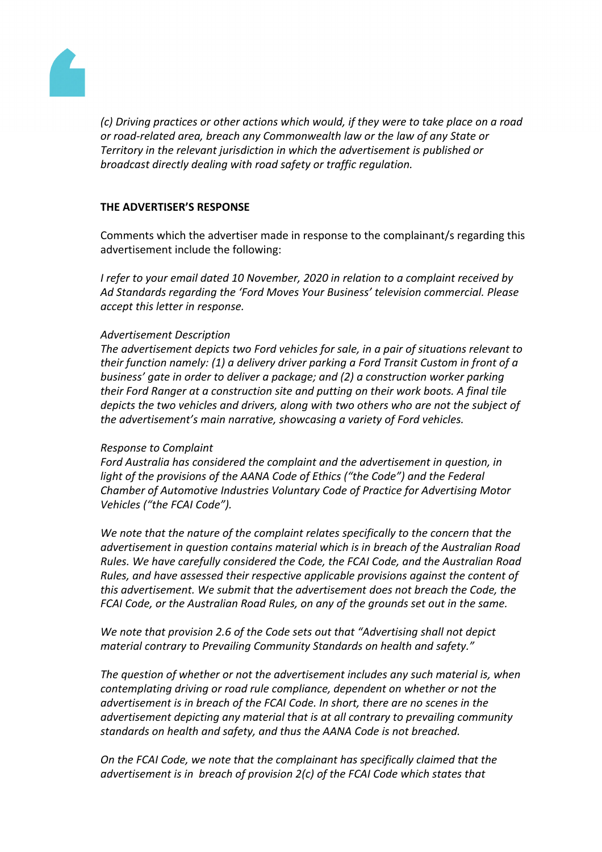

*(c) Driving practices or other actions which would, if they were to take place on a road or road-related area, breach any Commonwealth law or the law of any State or Territory in the relevant jurisdiction in which the advertisement is published or broadcast directly dealing with road safety or traffic regulation.*

## **THE ADVERTISER'S RESPONSE**

Comments which the advertiser made in response to the complainant/s regarding this advertisement include the following:

*I refer to your email dated 10 November, 2020 in relation to a complaint received by Ad Standards regarding the 'Ford Moves Your Business' television commercial. Please accept this letter in response.*

## *Advertisement Description*

*The advertisement depicts two Ford vehicles for sale, in a pair of situations relevant to their function namely: (1) a delivery driver parking a Ford Transit Custom in front of a business' gate in order to deliver a package; and (2) a construction worker parking their Ford Ranger at a construction site and putting on their work boots. A final tile depicts the two vehicles and drivers, along with two others who are not the subject of the advertisement's main narrative, showcasing a variety of Ford vehicles.*

#### *Response to Complaint*

*Ford Australia has considered the complaint and the advertisement in question, in light of the provisions of the AANA Code of Ethics ("the Code") and the Federal Chamber of Automotive Industries Voluntary Code of Practice for Advertising Motor Vehicles ("the FCAI Code").*

*We note that the nature of the complaint relates specifically to the concern that the advertisement in question contains material which is in breach of the Australian Road Rules. We have carefully considered the Code, the FCAI Code, and the Australian Road Rules, and have assessed their respective applicable provisions against the content of this advertisement. We submit that the advertisement does not breach the Code, the FCAI Code, or the Australian Road Rules, on any of the grounds set out in the same.*

*We note that provision 2.6 of the Code sets out that "Advertising shall not depict material contrary to Prevailing Community Standards on health and safety."*

*The question of whether or not the advertisement includes any such material is, when contemplating driving or road rule compliance, dependent on whether or not the advertisement is in breach of the FCAI Code. In short, there are no scenes in the advertisement depicting any material that is at all contrary to prevailing community standards on health and safety, and thus the AANA Code is not breached.*

*On the FCAI Code, we note that the complainant has specifically claimed that the advertisement is in breach of provision 2(c) of the FCAI Code which states that*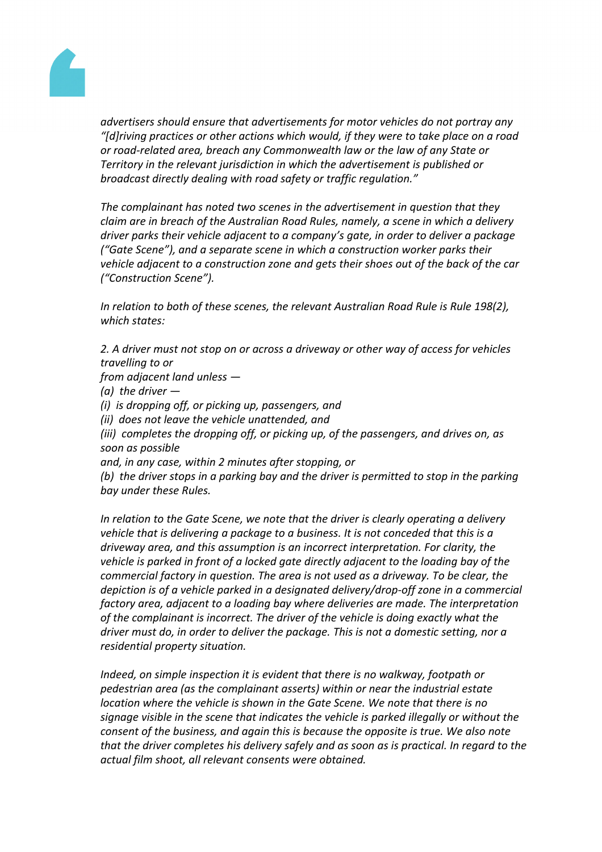

*advertisers should ensure that advertisements for motor vehicles do not portray any "[d]riving practices or other actions which would, if they were to take place on a road or road-related area, breach any Commonwealth law or the law of any State or Territory in the relevant jurisdiction in which the advertisement is published or broadcast directly dealing with road safety or traffic regulation."*

*The complainant has noted two scenes in the advertisement in question that they claim are in breach of the Australian Road Rules, namely, a scene in which a delivery driver parks their vehicle adjacent to a company's gate, in order to deliver a package ("Gate Scene"), and a separate scene in which a construction worker parks their vehicle adjacent to a construction zone and gets their shoes out of the back of the car ("Construction Scene").*

*In relation to both of these scenes, the relevant Australian Road Rule is Rule 198(2), which states:*

*2. A driver must not stop on or across a driveway or other way of access for vehicles travelling to or*

*from adjacent land unless —*

*(a) the driver —*

*(i) is dropping off, or picking up, passengers, and*

*(ii) does not leave the vehicle unattended, and*

*(iii) completes the dropping off, or picking up, of the passengers, and drives on, as soon as possible*

*and, in any case, within 2 minutes after stopping, or*

*(b) the driver stops in a parking bay and the driver is permitted to stop in the parking bay under these Rules.*

*In relation to the Gate Scene, we note that the driver is clearly operating a delivery vehicle that is delivering a package to a business. It is not conceded that this is a driveway area, and this assumption is an incorrect interpretation. For clarity, the vehicle is parked in front of a locked gate directly adjacent to the loading bay of the commercial factory in question. The area is not used as a driveway. To be clear, the depiction is of a vehicle parked in a designated delivery/drop-off zone in a commercial factory area, adjacent to a loading bay where deliveries are made. The interpretation of the complainant is incorrect. The driver of the vehicle is doing exactly what the driver must do, in order to deliver the package. This is not a domestic setting, nor a residential property situation.*

*Indeed, on simple inspection it is evident that there is no walkway, footpath or pedestrian area (as the complainant asserts) within or near the industrial estate location where the vehicle is shown in the Gate Scene. We note that there is no signage visible in the scene that indicates the vehicle is parked illegally or without the consent of the business, and again this is because the opposite is true. We also note that the driver completes his delivery safely and as soon as is practical. In regard to the actual film shoot, all relevant consents were obtained.*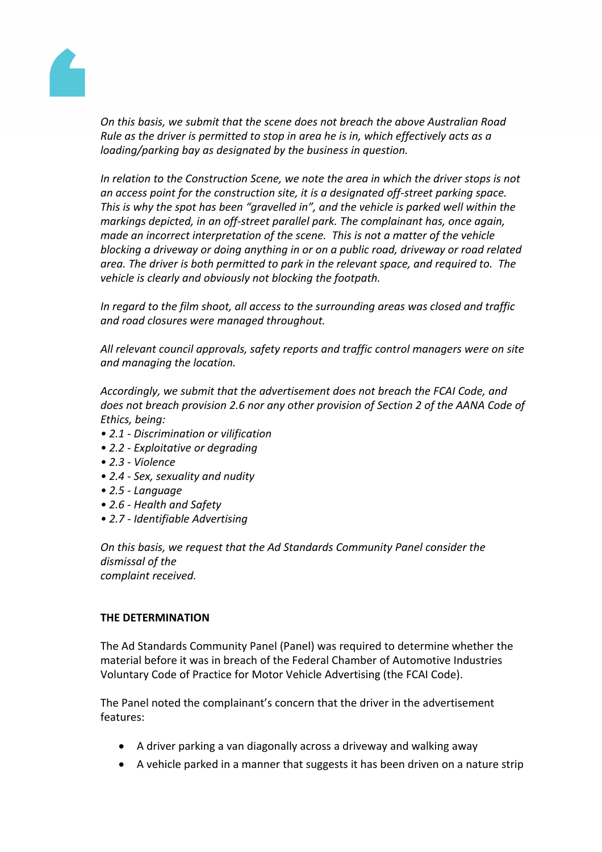

*On this basis, we submit that the scene does not breach the above Australian Road Rule as the driver is permitted to stop in area he is in, which effectively acts as a loading/parking bay as designated by the business in question.*

*In relation to the Construction Scene, we note the area in which the driver stops is not an access point for the construction site, it is a designated off-street parking space. This is why the spot has been "gravelled in", and the vehicle is parked well within the markings depicted, in an off-street parallel park. The complainant has, once again, made an incorrect interpretation of the scene. This is not a matter of the vehicle blocking a driveway or doing anything in or on a public road, driveway or road related area. The driver is both permitted to park in the relevant space, and required to. The vehicle is clearly and obviously not blocking the footpath.*

*In regard to the film shoot, all access to the surrounding areas was closed and traffic and road closures were managed throughout.*

*All relevant council approvals, safety reports and traffic control managers were on site and managing the location.* 

*Accordingly, we submit that the advertisement does not breach the FCAI Code, and does not breach provision 2.6 nor any other provision of Section 2 of the AANA Code of Ethics, being:*

- *• 2.1 - Discrimination or vilification*
- *• 2.2 - Exploitative or degrading*
- *• 2.3 - Violence*
- *• 2.4 - Sex, sexuality and nudity*
- *• 2.5 - Language*
- *• 2.6 - Health and Safety*
- *• 2.7 - Identifiable Advertising*

*On this basis, we request that the Ad Standards Community Panel consider the dismissal of the complaint received.*

## **THE DETERMINATION**

The Ad Standards Community Panel (Panel) was required to determine whether the material before it was in breach of the Federal Chamber of Automotive Industries Voluntary Code of Practice for Motor Vehicle Advertising (the FCAI Code).

The Panel noted the complainant's concern that the driver in the advertisement features:

- A driver parking a van diagonally across a driveway and walking away
- A vehicle parked in a manner that suggests it has been driven on a nature strip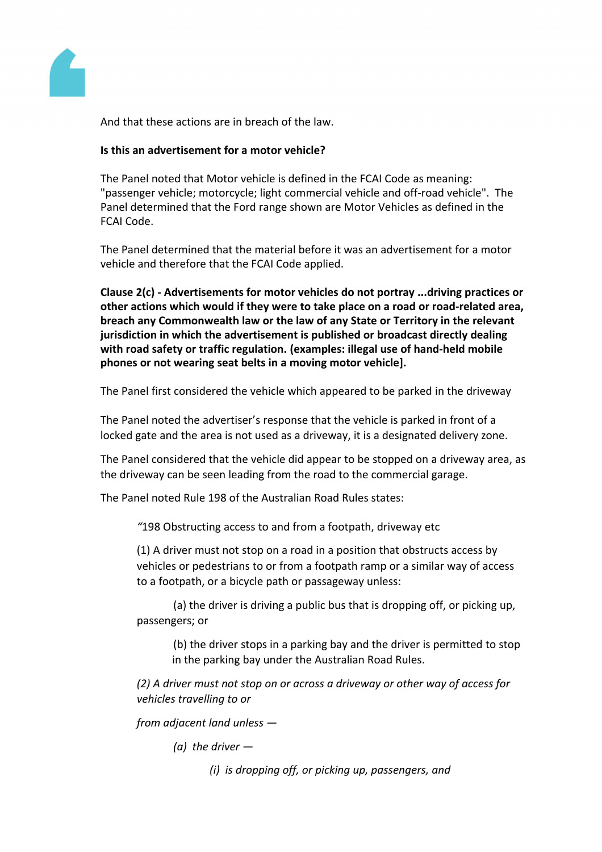

And that these actions are in breach of the law.

# **Is this an advertisement for a motor vehicle?**

The Panel noted that Motor vehicle is defined in the FCAI Code as meaning: "passenger vehicle; motorcycle; light commercial vehicle and off-road vehicle". The Panel determined that the Ford range shown are Motor Vehicles as defined in the FCAI Code.

The Panel determined that the material before it was an advertisement for a motor vehicle and therefore that the FCAI Code applied.

**Clause 2(c) - Advertisements for motor vehicles do not portray ...driving practices or other actions which would if they were to take place on a road or road-related area, breach any Commonwealth law or the law of any State or Territory in the relevant jurisdiction in which the advertisement is published or broadcast directly dealing with road safety or traffic regulation. (examples: illegal use of hand-held mobile phones or not wearing seat belts in a moving motor vehicle].**

The Panel first considered the vehicle which appeared to be parked in the driveway

The Panel noted the advertiser's response that the vehicle is parked in front of a locked gate and the area is not used as a driveway, it is a designated delivery zone.

The Panel considered that the vehicle did appear to be stopped on a driveway area, as the driveway can be seen leading from the road to the commercial garage.

The Panel noted Rule 198 of the Australian Road Rules states:

*"*198 Obstructing access to and from a footpath, driveway etc

(1) A driver must not stop on a road in a position that obstructs access by vehicles or pedestrians to or from a footpath ramp or a similar way of access to a footpath, or a bicycle path or passageway unless:

(a) the driver is driving a public bus that is dropping off, or picking up, passengers; or

(b) the driver stops in a parking bay and the driver is permitted to stop in the parking bay under the Australian Road Rules.

*(2) A driver must not stop on or across a driveway or other way of access for vehicles travelling to or*

*from adjacent land unless —*

*(a) the driver —*

*(i) is dropping off, or picking up, passengers, and*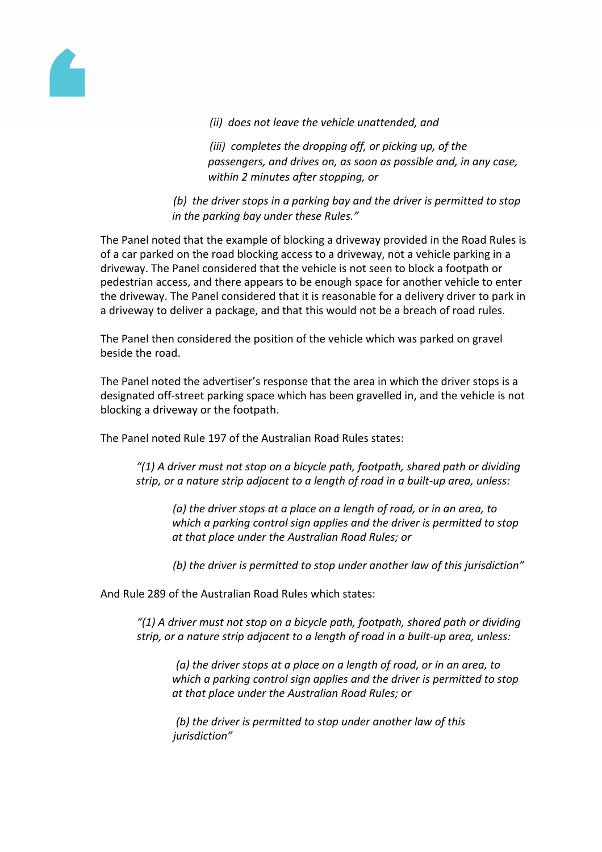

*(ii) does not leave the vehicle unattended, and*

*(iii) completes the dropping off, or picking up, of the passengers, and drives on, as soon as possible and, in any case, within 2 minutes after stopping, or*

*(b) the driver stops in a parking bay and the driver is permitted to stop in the parking bay under these Rules."*

The Panel noted that the example of blocking a driveway provided in the Road Rules is of a car parked on the road blocking access to a driveway, not a vehicle parking in a driveway. The Panel considered that the vehicle is not seen to block a footpath or pedestrian access, and there appears to be enough space for another vehicle to enter the driveway. The Panel considered that it is reasonable for a delivery driver to park in a driveway to deliver a package, and that this would not be a breach of road rules.

The Panel then considered the position of the vehicle which was parked on gravel beside the road.

The Panel noted the advertiser's response that the area in which the driver stops is a designated off-street parking space which has been gravelled in, and the vehicle is not blocking a driveway or the footpath.

The Panel noted Rule 197 of the Australian Road Rules states:

*"(1) A driver must not stop on a bicycle path, footpath, shared path or dividing strip, or a nature strip adjacent to a length of road in a built-up area, unless:*

*(a) the driver stops at a place on a length of road, or in an area, to which a parking control sign applies and the driver is permitted to stop at that place under the Australian Road Rules; or*

*(b) the driver is permitted to stop under another law of this jurisdiction"*

And Rule 289 of the Australian Road Rules which states:

*"(1) A driver must not stop on a bicycle path, footpath, shared path or dividing strip, or a nature strip adjacent to a length of road in a built-up area, unless:*

*(a) the driver stops at a place on a length of road, or in an area, to which a parking control sign applies and the driver is permitted to stop at that place under the Australian Road Rules; or*

*(b) the driver is permitted to stop under another law of this jurisdiction"*